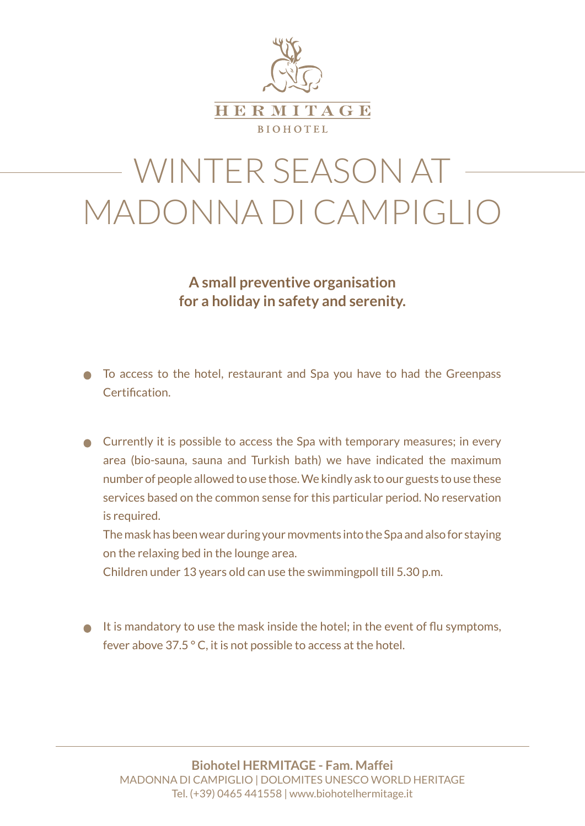

# WINTER SEASON AT MADONNA DI CAMPIGLIO

**A small preventive organisation for a holiday in safety and serenity.**

- To access to the hotel, restaurant and Spa you have to had the Greenpass Certification.
- **●** Currently it is possible to access the Spa with temporary measures; in every area (bio-sauna, sauna and Turkish bath) we have indicated the maximum number of people allowed to use those. We kindly ask to our guests to use these services based on the common sense for this particular period. No reservation is required.

The mask has been wear during your movments into the Spa and also for staying on the relaxing bed in the lounge area.

Children under 13 years old can use the swimmingpoll till 5.30 p.m.

 $\bullet$  It is mandatory to use the mask inside the hotel; in the event of flu symptoms, fever above 37.5 ° C, it is not possible to access at the hotel.

**Biohotel HERMITAGE - Fam. Maffei** MADONNA DI CAMPIGLIO | DOLOMITES UNESCO WORLD HERITAGE Tel. (+39) 0465 441558 | www.biohotelhermitage.it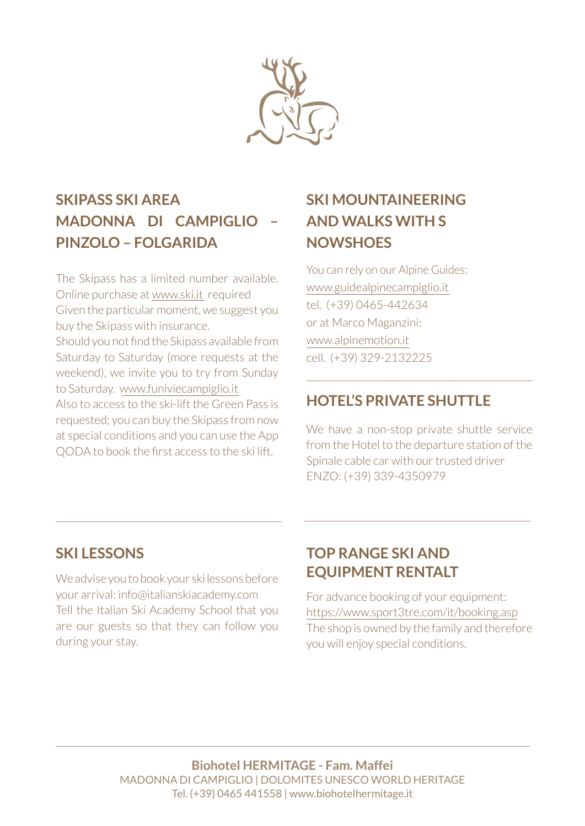

# **SKIPASS SKI AREA MADONNA DI CAMPIGLIO – PINZOLO – FOLGARIDA**

The Skipass has a limited number available. Online purchase at www.ski.it required Given the particular moment, we suggest you buy the Skipass with insurance. Should you not find the Skipass available from Saturday to Saturday (more requests at the weekend), we invite you to try from Sunday to Saturday. www.funiviecampiglio.it Also to access to the ski-lift the Green Pass is requested; you can buy the Skipass from now at special conditions and you can use the App QODA to book the first access to the ski lift.

# **SKI MOUNTAINEERING AND WALKS WITH S NOWSHOES**

You can rely on our Alpine Guides: www.guidealpinecampiglio.it tel. (+39) 0465-442634 or at Marco Maganzini: www.alpinemotion.it cell. (+39) 329-2132225

### **HOTEL'S PRIVATE SHUTTLE**

We have a non-stop private shuttle service from the Hotel to the departure station of the Spinale cable car with our trusted driver ENZO: (+39) 339-4350979

#### **SKI LESSONS**

We advise you to book your ski lessons before your arrival: info@italianskiacademy.com Tell the Italian Ski Academy School that you are our guests so that they can follow you during your stay.

### **TOP RANGE SKI AND EQUIPMENT RENTALT**

For advance booking of your equipment: https://www.sport3tre.com/it/booking.asp The shop is owned by the family and therefore you will enjoy special conditions.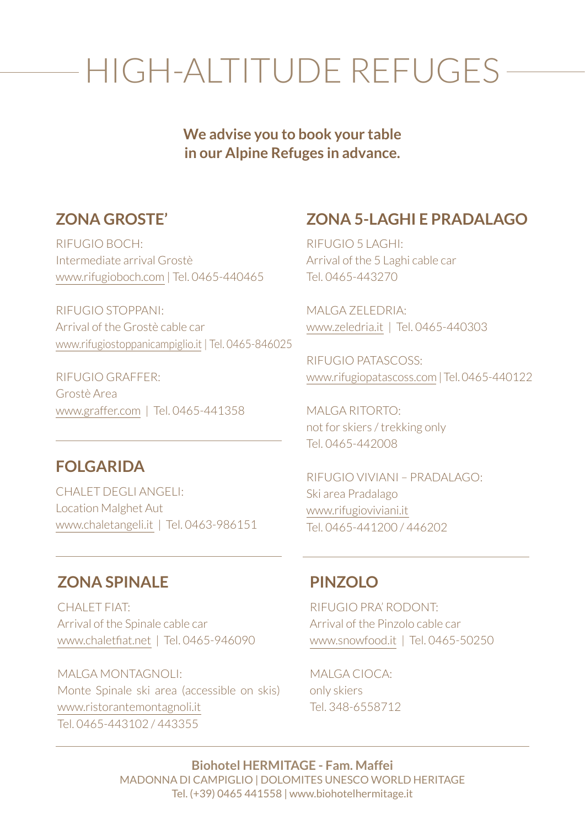# HIGH-ALTITUDE REFUGES

**We advise you to book your table in our Alpine Refuges in advance.**

#### **ZONA GROSTE'**

RIFUGIO BOCH: Intermediate arrival Grostè www.rifugioboch.com | Tel. 0465-440465

RIFUGIO STOPPANI: Arrival of the Grostè cable car www.rifugiostoppanicampiglio.it | Tel. 0465-846025

RIFUGIO GRAFFER: Grostè Area www.graffer.com | Tel. 0465-441358

#### **FOLGARIDA**

CHALET DEGLI ANGELI: Location Malghet Aut www.chaletangeli.it | Tel. 0463-986151

#### **ZONA 5-LAGHI E PRADALAGO**

RIFUGIO 5 LAGHI: Arrival of the 5 Laghi cable car Tel. 0465-443270

MALGA ZELEDRIA: www.zeledria.it | Tel. 0465-440303

RIFUGIO PATASCOSS: www.rifugiopatascoss.com | Tel. 0465-440122

MALGA RITORTO: not for skiers / trekking only Tel. 0465-442008

RIFUGIO VIVIANI – PRADALAGO: Ski area Pradalago www.rifugioviviani.it Tel. 0465-441200 / 446202

#### **ZONA SPINALE**

CHALET FIAT: Arrival of the Spinale cable car www.chaletfiat.net | Tel. 0465-946090

MALGA MONTAGNOLI: Monte Spinale ski area (accessible on skis) www.ristorantemontagnoli.it Tel. 0465-443102 / 443355

#### **PINZOLO**

RIFUGIO PRA' RODONT: Arrival of the Pinzolo cable car www.snowfood.it | Tel. 0465-50250

MALGA CIOCA: only skiers Tel. 348-6558712

**Biohotel HERMITAGE - Fam. Maffei** MADONNA DI CAMPIGLIO | DOLOMITES UNESCO WORLD HERITAGE Tel. (+39) 0465 441558 | www.biohotelhermitage.it